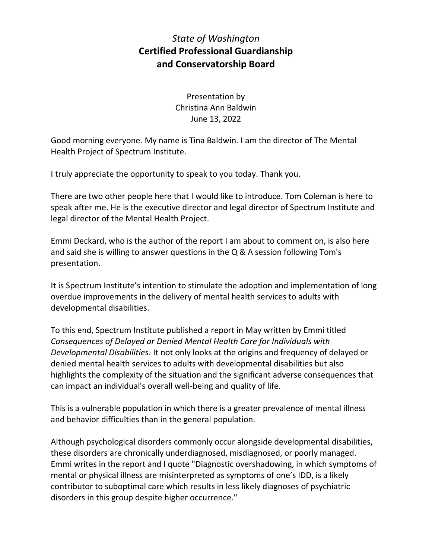## *State of Washington* **Certified Professional Guardianship and Conservatorship Board**

Presentation by Christina Ann Baldwin June 13, 2022

Good morning everyone. My name is Tina Baldwin. I am the director of The Mental Health Project of Spectrum Institute.

I truly appreciate the opportunity to speak to you today. Thank you.

There are two other people here that I would like to introduce. Tom Coleman is here to speak after me. He is the executive director and legal director of Spectrum Institute and legal director of the Mental Health Project.

Emmi Deckard, who is the author of the report I am about to comment on, is also here and said she is willing to answer questions in the Q & A session following Tom's presentation.

It is Spectrum Institute's intention to stimulate the adoption and implementation of long overdue improvements in the delivery of mental health services to adults with developmental disabilities.

To this end, Spectrum Institute published a report in May written by Emmi titled *Consequences of Delayed or Denied Mental Health Care for Individuals with Developmental Disabilities*. It not only looks at the origins and frequency of delayed or denied mental health services to adults with developmental disabilities but also highlights the complexity of the situation and the significant adverse consequences that can impact an individual's overall well-being and quality of life.

This is a vulnerable population in which there is a greater prevalence of mental illness and behavior difficulties than in the general population.

Although psychological disorders commonly occur alongside developmental disabilities, these disorders are chronically underdiagnosed, misdiagnosed, or poorly managed. Emmi writes in the report and I quote "Diagnostic overshadowing, in which symptoms of mental or physical illness are misinterpreted as symptoms of one's IDD, is a likely contributor to suboptimal care which results in less likely diagnoses of psychiatric disorders in this group despite higher occurrence."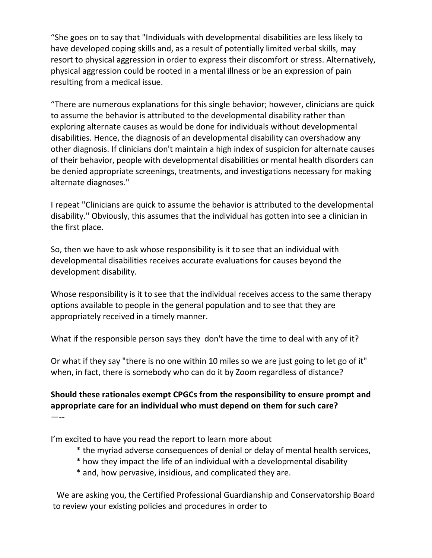"She goes on to say that "Individuals with developmental disabilities are less likely to have developed coping skills and, as a result of potentially limited verbal skills, may resort to physical aggression in order to express their discomfort or stress. Alternatively, physical aggression could be rooted in a mental illness or be an expression of pain resulting from a medical issue.

"There are numerous explanations for this single behavior; however, clinicians are quick to assume the behavior is attributed to the developmental disability rather than exploring alternate causes as would be done for individuals without developmental disabilities. Hence, the diagnosis of an developmental disability can overshadow any other diagnosis. If clinicians don't maintain a high index of suspicion for alternate causes of their behavior, people with developmental disabilities or mental health disorders can be denied appropriate screenings, treatments, and investigations necessary for making alternate diagnoses."

I repeat "Clinicians are quick to assume the behavior is attributed to the developmental disability." Obviously, this assumes that the individual has gotten into see a clinician in the first place.

So, then we have to ask whose responsibility is it to see that an individual with developmental disabilities receives accurate evaluations for causes beyond the development disability.

Whose responsibility is it to see that the individual receives access to the same therapy options available to people in the general population and to see that they are appropriately received in a timely manner.

What if the responsible person says they don't have the time to deal with any of it?

Or what if they say "there is no one within 10 miles so we are just going to let go of it" when, in fact, there is somebody who can do it by Zoom regardless of distance?

## **Should these rationales exempt CPGCs from the responsibility to ensure prompt and appropriate care for an individual who must depend on them for such care?** —--

I'm excited to have you read the report to learn more about

- \* the myriad adverse consequences of denial or delay of mental health services,
- \* how they impact the life of an individual with a developmental disability
- \* and, how pervasive, insidious, and complicated they are.

We are asking you, the Certified Professional Guardianship and Conservatorship Board to review your existing policies and procedures in order to